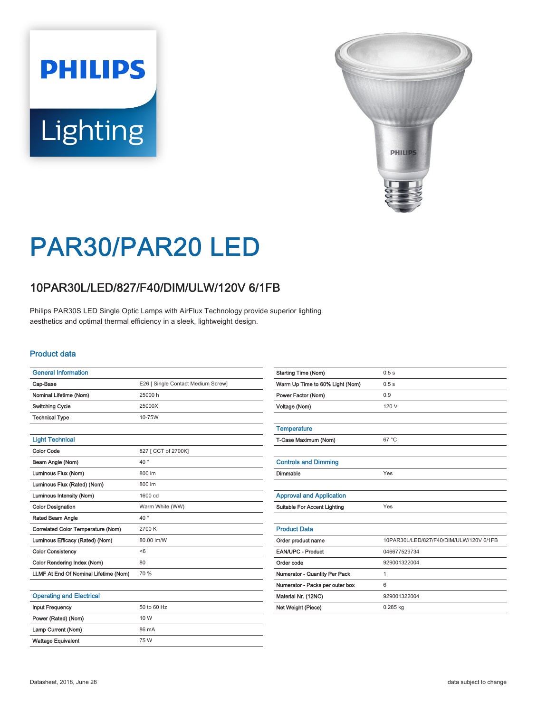# **PHILIPS Lighting**



# PAR30/PAR20 LED

## 10PAR30L/LED/827/F40/DIM/ULW/120V 6/1FB

Philips PAR30S LED Single Optic Lamps with AirFlux Technology provide superior lighting aesthetics and optimal thermal efficiency in a sleek, lightweight design.

#### Product data

| <b>General Information</b>            |                                    |
|---------------------------------------|------------------------------------|
| Cap-Base                              | E26 [ Single Contact Medium Screw] |
| Nominal Lifetime (Nom)                | 25000 h                            |
| Switching Cycle                       | 25000X                             |
| <b>Technical Type</b>                 | 10-75W                             |
|                                       |                                    |
| <b>Light Technical</b>                |                                    |
| <b>Color Code</b>                     | 827 [ CCT of 2700K]                |
| Beam Angle (Nom)                      | $40^{\circ}$                       |
| Luminous Flux (Nom)                   | 800 lm                             |
| Luminous Flux (Rated) (Nom)           | 800 lm                             |
| Luminous Intensity (Nom)              | 1600 cd                            |
| <b>Color Designation</b>              | Warm White (WW)                    |
| Rated Beam Angle                      | $40^{\circ}$                       |
| Correlated Color Temperature (Nom)    | 2700 K                             |
| Luminous Efficacy (Rated) (Nom)       | 80.00 lm/W                         |
| <b>Color Consistency</b>              | < 6                                |
| Color Rendering Index (Nom)           | 80                                 |
| LLMF At End Of Nominal Lifetime (Nom) | 70 %                               |
|                                       |                                    |

| <b>Approval and Application</b>     |                                         |
|-------------------------------------|-----------------------------------------|
| <b>Suitable For Accent Lighting</b> | Yes                                     |
|                                     |                                         |
| <b>Product Data</b>                 |                                         |
| Order product name                  | 10PAR30L/LED/827/F40/DIM/ULW/120V 6/1FB |
| <b>EAN/UPC - Product</b>            | 046677529734                            |
| Order code                          | 929001322004                            |
| Numerator - Quantity Per Pack       | 1                                       |
| Numerator - Packs per outer box     | 6                                       |
| Material Nr. (12NC)                 | 929001322004                            |
| Net Weight (Piece)                  | $0.285$ kg                              |

Starting Time (Nom) 0.5 s Warm Up Time to 60% Light (Nom) 0.5 s Power Factor (Nom) 0.9 Voltage (Nom) 120 V

T-Case Maximum (Nom) 67 °C

Dimmable Yes

**Temperature** 

Controls and Dimming

#### Operating and Electrical

| <b>Input Frequency</b>    | 50 to 60 Hz |
|---------------------------|-------------|
| Power (Rated) (Nom)       | 10 W        |
| Lamp Current (Nom)        | 86 mA       |
| <b>Wattage Equivalent</b> | 75 W        |